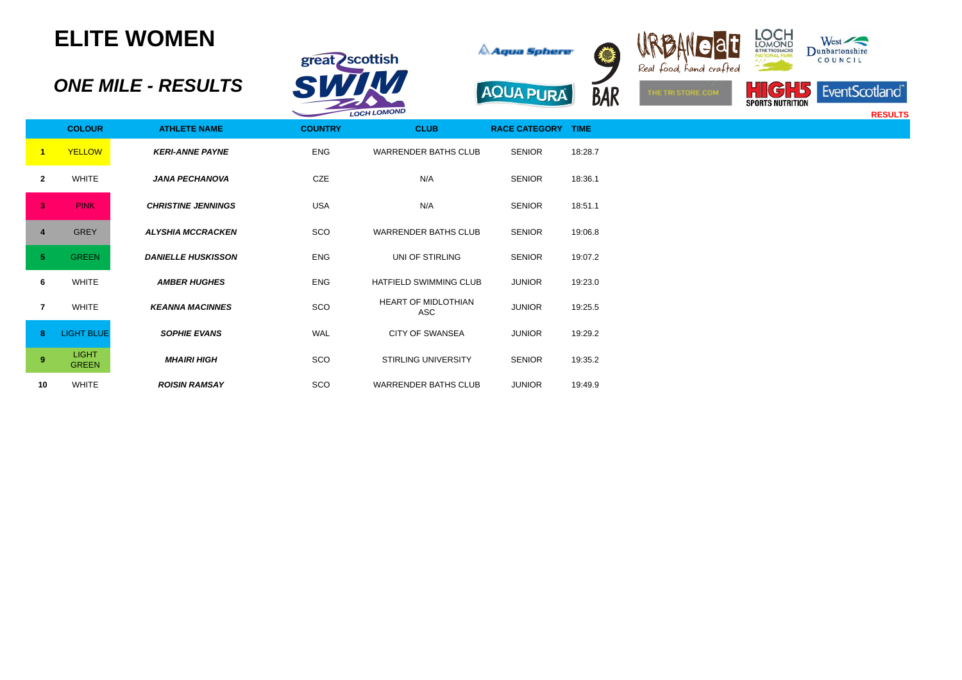## **ELITE WOMEN**

 **ONE MILE - RESULTS**







**RESULTS**

|                         | <b>COLOUR</b>                | <b>ATHLETE NAME</b>       | <b>COUNTRY</b> | <b>CLUB</b>                       | <b>RACE CATEGORY TIME</b> |         |  |
|-------------------------|------------------------------|---------------------------|----------------|-----------------------------------|---------------------------|---------|--|
| $\mathbf{1}$            | YELLOW                       | <b>KERI-ANNE PAYNE</b>    | <b>ENG</b>     | <b>WARRENDER BATHS CLUB</b>       | SENIOR                    | 18:28.7 |  |
| $\overline{2}$          | WHITE                        | <b>JANA PECHANOVA</b>     | CZE            | N/A                               | SENIOR                    | 18:36.1 |  |
| $\overline{\mathbf{3}}$ | <b>PINK</b>                  | <b>CHRISTINE JENNINGS</b> | USA            | N/A                               | SENIOR                    | 18:51.1 |  |
| $\overline{a}$          | <b>GREY</b>                  | <b>ALYSHIA MCCRACKEN</b>  | SCO            | <b>WARRENDER BATHS CLUB</b>       | <b>SENIOR</b>             | 19:06.8 |  |
| -5                      | <b>GREEN</b>                 | <b>DANIELLE HUSKISSON</b> | <b>ENG</b>     | UNI OF STIRLING                   | SENIOR                    | 19:07.2 |  |
| 6                       | <b>WHITE</b>                 | <b>AMBER HUGHES</b>       | <b>ENG</b>     | HATFIELD SWIMMING CLUB            | <b>JUNIOR</b>             | 19:23.0 |  |
| $\overline{7}$          | WHITE                        | <b>KEANNA MACINNES</b>    | SCO            | <b>HEART OF MIDLOTHIAN</b><br>ASC | <b>JUNIOR</b>             | 19:25.5 |  |
| 8                       | <b>LIGHT BLUE</b>            | <b>SOPHIE EVANS</b>       | WAL            | <b>CITY OF SWANSEA</b>            | <b>JUNIOR</b>             | 19:29.2 |  |
| 9                       | <b>LIGHT</b><br><b>GREEN</b> | <b>MHAIRI HIGH</b>        | SCO            | <b>STIRLING UNIVERSITY</b>        | <b>SENIOR</b>             | 19:35.2 |  |
| 10                      | <b>WHITE</b>                 | <b>ROISIN RAMSAY</b>      | SCO            | <b>WARRENDER BATHS CLUB</b>       | <b>JUNIOR</b>             | 19:49.9 |  |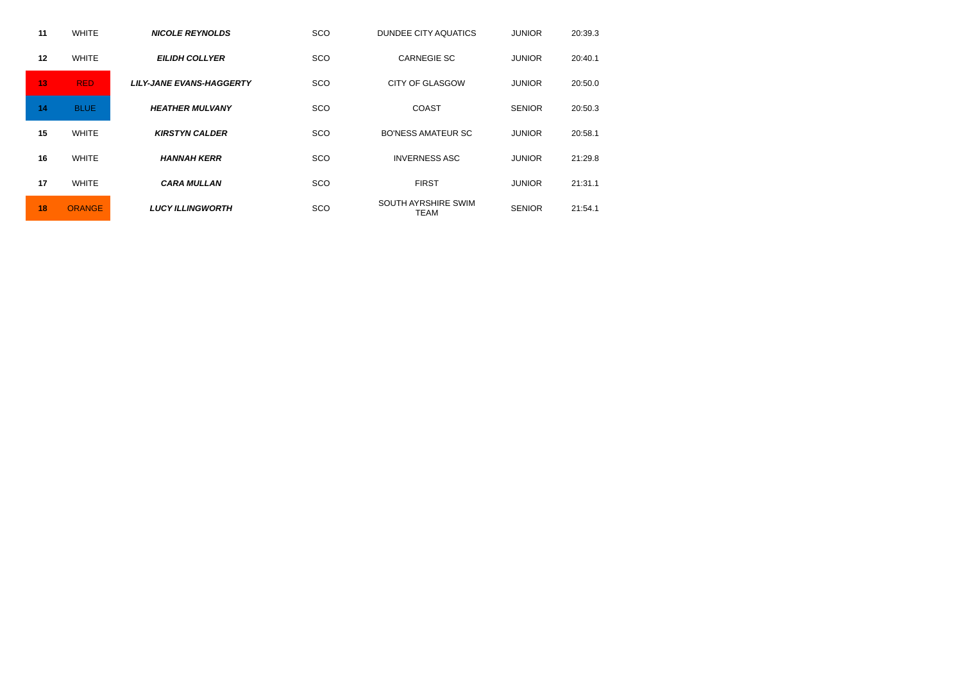| 11 | <b>WHITE</b>  | <b>NICOLE REYNOLDS</b>          | SCO        | <b>DUNDEE CITY AQUATICS</b>        | <b>JUNIOR</b> | 20:39.3 |
|----|---------------|---------------------------------|------------|------------------------------------|---------------|---------|
| 12 | <b>WHITE</b>  | <b>EILIDH COLLYER</b>           | SCO        | <b>CARNEGIE SC</b>                 | <b>JUNIOR</b> | 20:40.1 |
| 13 | <b>RED</b>    | <b>LILY-JANE EVANS-HAGGERTY</b> | SCO        | <b>CITY OF GLASGOW</b>             | <b>JUNIOR</b> | 20:50.0 |
| 14 | <b>BLUE</b>   | <b>HEATHER MULVANY</b>          | SCO        | <b>COAST</b>                       | <b>SENIOR</b> | 20:50.3 |
| 15 | <b>WHITE</b>  | <b>KIRSTYN CALDER</b>           | <b>SCO</b> | <b>BO'NESS AMATEUR SC</b>          | <b>JUNIOR</b> | 20:58.1 |
| 16 | <b>WHITE</b>  | <b>HANNAH KERR</b>              | <b>SCO</b> | <b>INVERNESS ASC</b>               | <b>JUNIOR</b> | 21:29.8 |
| 17 | <b>WHITE</b>  | <b>CARA MULLAN</b>              | SCO        | <b>FIRST</b>                       | <b>JUNIOR</b> | 21:31.1 |
| 18 | <b>ORANGE</b> | <b>LUCY ILLINGWORTH</b>         | <b>SCO</b> | SOUTH AYRSHIRE SWIM<br><b>TEAM</b> | <b>SENIOR</b> | 21:54.1 |